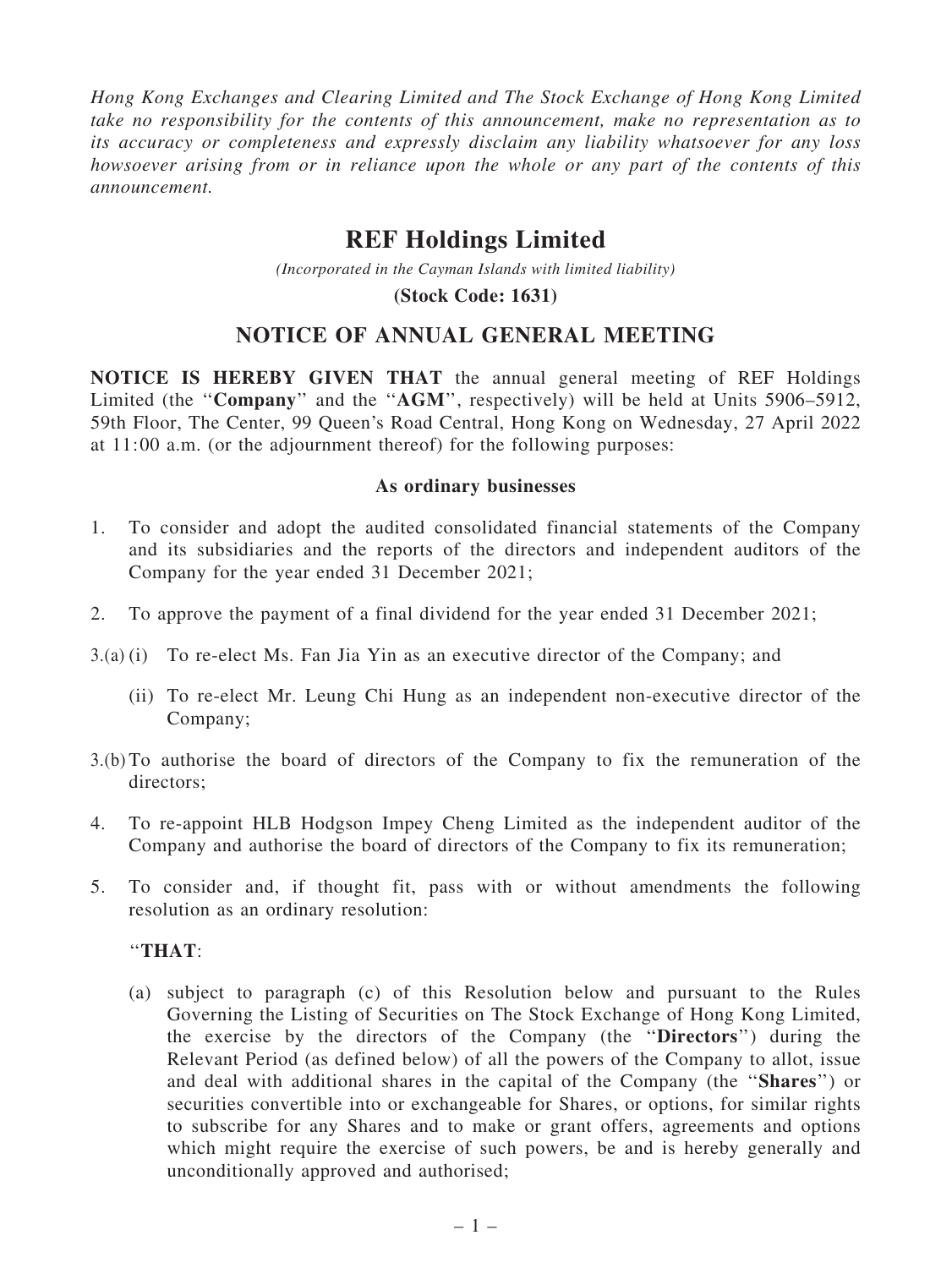*Hong Kong Exchanges and Clearing Limited and The Stock Exchange of Hong Kong Limited take no responsibility for the contents of this announcement, make no representation as to its accuracy or completeness and expressly disclaim any liability whatsoever for any loss howsoever arising from or in reliance upon the whole or any part of the contents of this announcement.*

# **REF Holdings Limited**

*(Incorporated in the Cayman Islands with limited liability)*

**(Stock Code: 1631)**

# NOTICE OF ANNUAL GENERAL MEETING

NOTICE IS HEREBY GIVEN THAT the annual general meeting of REF Holdings Limited (the "Company" and the "AGM", respectively) will be held at Units 5906–5912. 59th Floor, The Center, 99 Queen's Road Central, Hong Kong on Wednesday, 27 April 2022 at 11:00 a.m. (or the adjournment thereof) for the following purposes:

#### As ordinary businesses

- 1. To consider and adopt the audited consolidated financial statements of the Company and its subsidiaries and the reports of the directors and independent auditors of the Company for the year ended 31 December 2021;
- 2. To approve the payment of a final dividend for the year ended 31 December 2021;
- 3.(a) (i) To re-elect Ms. Fan Jia Yin as an executive director of the Company; and
	- (ii) To re-elect Mr. Leung Chi Hung as an independent non-executive director of the Company;
- 3.(b) To authorise the board of directors of the Company to fix the remuneration of the directors;
- 4. To re-appoint HLB Hodgson Impey Cheng Limited as the independent auditor of the Company and authorise the board of directors of the Company to fix its remuneration;
- 5. To consider and, if thought fit, pass with or without amendments the following resolution as an ordinary resolution:

### ''THAT:

(a) subject to paragraph (c) of this Resolution below and pursuant to the Rules Governing the Listing of Securities on The Stock Exchange of Hong Kong Limited, the exercise by the directors of the Company (the ''Directors'') during the Relevant Period (as defined below) of all the powers of the Company to allot, issue and deal with additional shares in the capital of the Company (the ''Shares'') or securities convertible into or exchangeable for Shares, or options, for similar rights to subscribe for any Shares and to make or grant offers, agreements and options which might require the exercise of such powers, be and is hereby generally and unconditionally approved and authorised;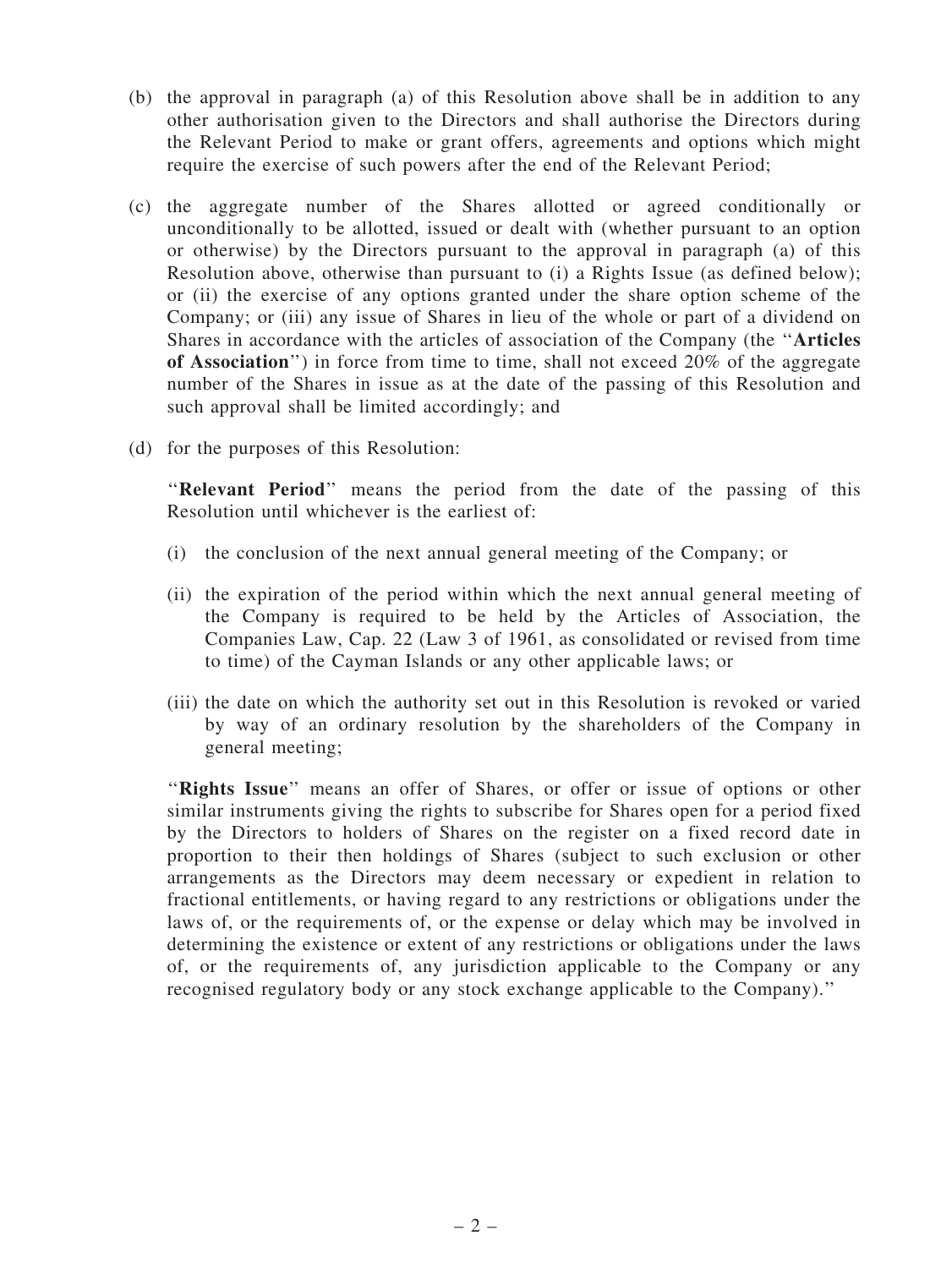- (b) the approval in paragraph (a) of this Resolution above shall be in addition to any other authorisation given to the Directors and shall authorise the Directors during the Relevant Period to make or grant offers, agreements and options which might require the exercise of such powers after the end of the Relevant Period;
- (c) the aggregate number of the Shares allotted or agreed conditionally or unconditionally to be allotted, issued or dealt with (whether pursuant to an option or otherwise) by the Directors pursuant to the approval in paragraph (a) of this Resolution above, otherwise than pursuant to (i) a Rights Issue (as defined below); or (ii) the exercise of any options granted under the share option scheme of the Company; or (iii) any issue of Shares in lieu of the whole or part of a dividend on Shares in accordance with the articles of association of the Company (the ''Articles of Association'') in force from time to time, shall not exceed  $20\%$  of the aggregate number of the Shares in issue as at the date of the passing of this Resolution and such approval shall be limited accordingly; and
- (d) for the purposes of this Resolution:

"Relevant Period" means the period from the date of the passing of this Resolution until whichever is the earliest of:

- (i) the conclusion of the next annual general meeting of the Company; or
- (ii) the expiration of the period within which the next annual general meeting of the Company is required to be held by the Articles of Association, the Companies Law, Cap. 22 (Law 3 of 1961, as consolidated or revised from time to time) of the Cayman Islands or any other applicable laws; or
- (iii) the date on which the authority set out in this Resolution is revoked or varied by way of an ordinary resolution by the shareholders of the Company in general meeting;

"Rights Issue" means an offer of Shares, or offer or issue of options or other similar instruments giving the rights to subscribe for Shares open for a period fixed by the Directors to holders of Shares on the register on a fixed record date in proportion to their then holdings of Shares (subject to such exclusion or other arrangements as the Directors may deem necessary or expedient in relation to fractional entitlements, or having regard to any restrictions or obligations under the laws of, or the requirements of, or the expense or delay which may be involved in determining the existence or extent of any restrictions or obligations under the laws of, or the requirements of, any jurisdiction applicable to the Company or any recognised regulatory body or any stock exchange applicable to the Company).''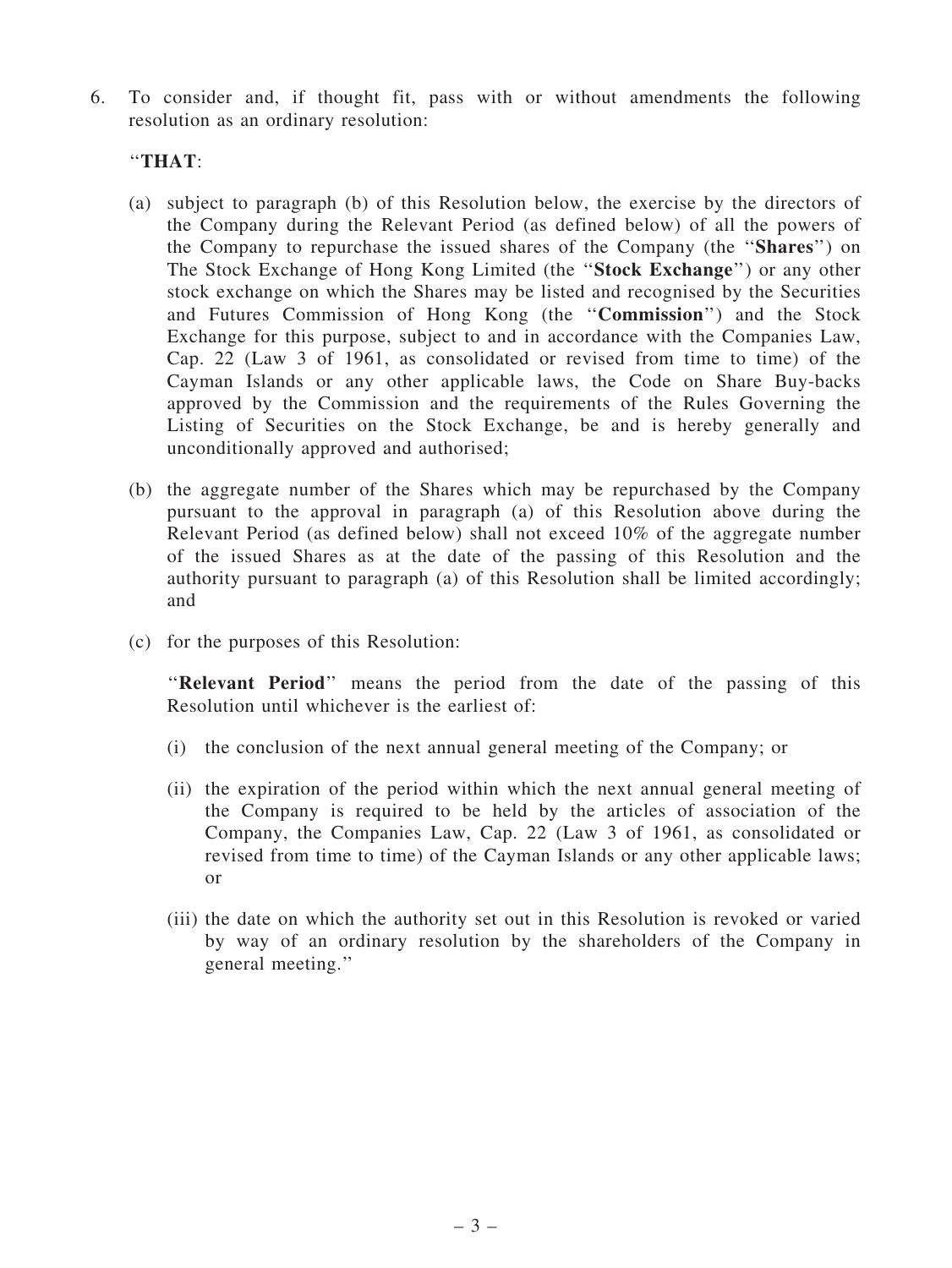6. To consider and, if thought fit, pass with or without amendments the following resolution as an ordinary resolution:

## ''THAT:

- (a) subject to paragraph (b) of this Resolution below, the exercise by the directors of the Company during the Relevant Period (as defined below) of all the powers of the Company to repurchase the issued shares of the Company (the ''Shares'') on The Stock Exchange of Hong Kong Limited (the ''Stock Exchange'') or any other stock exchange on which the Shares may be listed and recognised by the Securities and Futures Commission of Hong Kong (the ''Commission'') and the Stock Exchange for this purpose, subject to and in accordance with the Companies Law, Cap. 22 (Law 3 of 1961, as consolidated or revised from time to time) of the Cayman Islands or any other applicable laws, the Code on Share Buy-backs approved by the Commission and the requirements of the Rules Governing the Listing of Securities on the Stock Exchange, be and is hereby generally and unconditionally approved and authorised;
- (b) the aggregate number of the Shares which may be repurchased by the Company pursuant to the approval in paragraph (a) of this Resolution above during the Relevant Period (as defined below) shall not exceed 10% of the aggregate number of the issued Shares as at the date of the passing of this Resolution and the authority pursuant to paragraph (a) of this Resolution shall be limited accordingly; and
- (c) for the purposes of this Resolution:

"Relevant Period" means the period from the date of the passing of this Resolution until whichever is the earliest of:

- (i) the conclusion of the next annual general meeting of the Company; or
- (ii) the expiration of the period within which the next annual general meeting of the Company is required to be held by the articles of association of the Company, the Companies Law, Cap. 22 (Law 3 of 1961, as consolidated or revised from time to time) of the Cayman Islands or any other applicable laws; or
- (iii) the date on which the authority set out in this Resolution is revoked or varied by way of an ordinary resolution by the shareholders of the Company in general meeting.''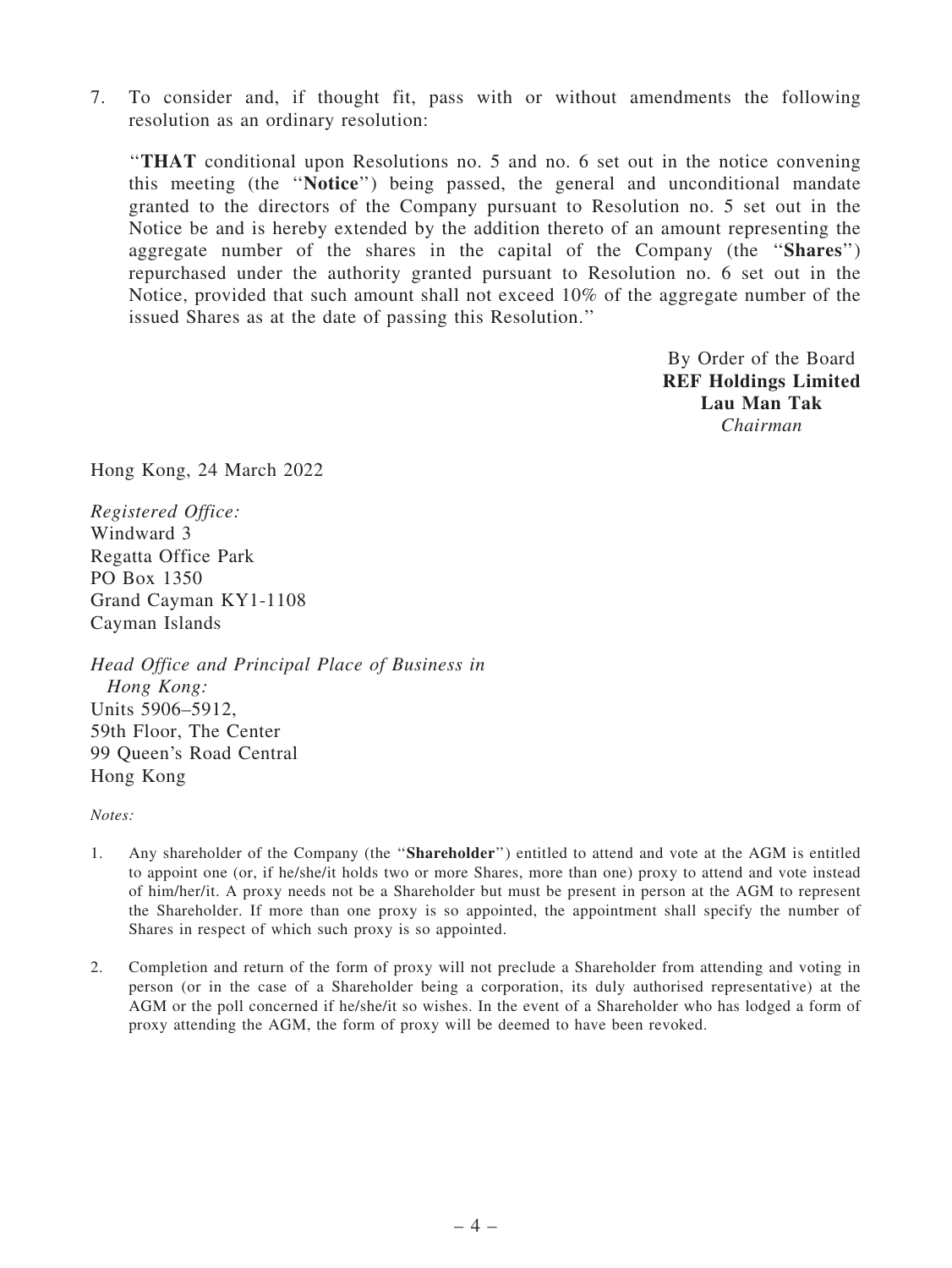7. To consider and, if thought fit, pass with or without amendments the following resolution as an ordinary resolution:

''THAT conditional upon Resolutions no. 5 and no. 6 set out in the notice convening this meeting (the ''Notice'') being passed, the general and unconditional mandate granted to the directors of the Company pursuant to Resolution no. 5 set out in the Notice be and is hereby extended by the addition thereto of an amount representing the aggregate number of the shares in the capital of the Company (the ''Shares'') repurchased under the authority granted pursuant to Resolution no. 6 set out in the Notice, provided that such amount shall not exceed 10% of the aggregate number of the issued Shares as at the date of passing this Resolution.''

> By Order of the Board REF Holdings Limited Lau Man Tak *Chairman*

Hong Kong, 24 March 2022

*Registered Office:* Windward 3 Regatta Office Park PO Box 1350 Grand Cayman KY1-1108 Cayman Islands

*Head Office and Principal Place of Business in Hong Kong:* Units 5906–5912, 59th Floor, The Center 99 Queen's Road Central Hong Kong

*Notes:*

- 1. Any shareholder of the Company (the "Shareholder") entitled to attend and vote at the AGM is entitled to appoint one (or, if he/she/it holds two or more Shares, more than one) proxy to attend and vote instead of him/her/it. A proxy needs not be a Shareholder but must be present in person at the AGM to represent the Shareholder. If more than one proxy is so appointed, the appointment shall specify the number of Shares in respect of which such proxy is so appointed.
- 2. Completion and return of the form of proxy will not preclude a Shareholder from attending and voting in person (or in the case of a Shareholder being a corporation, its duly authorised representative) at the AGM or the poll concerned if he/she/it so wishes. In the event of a Shareholder who has lodged a form of proxy attending the AGM, the form of proxy will be deemed to have been revoked.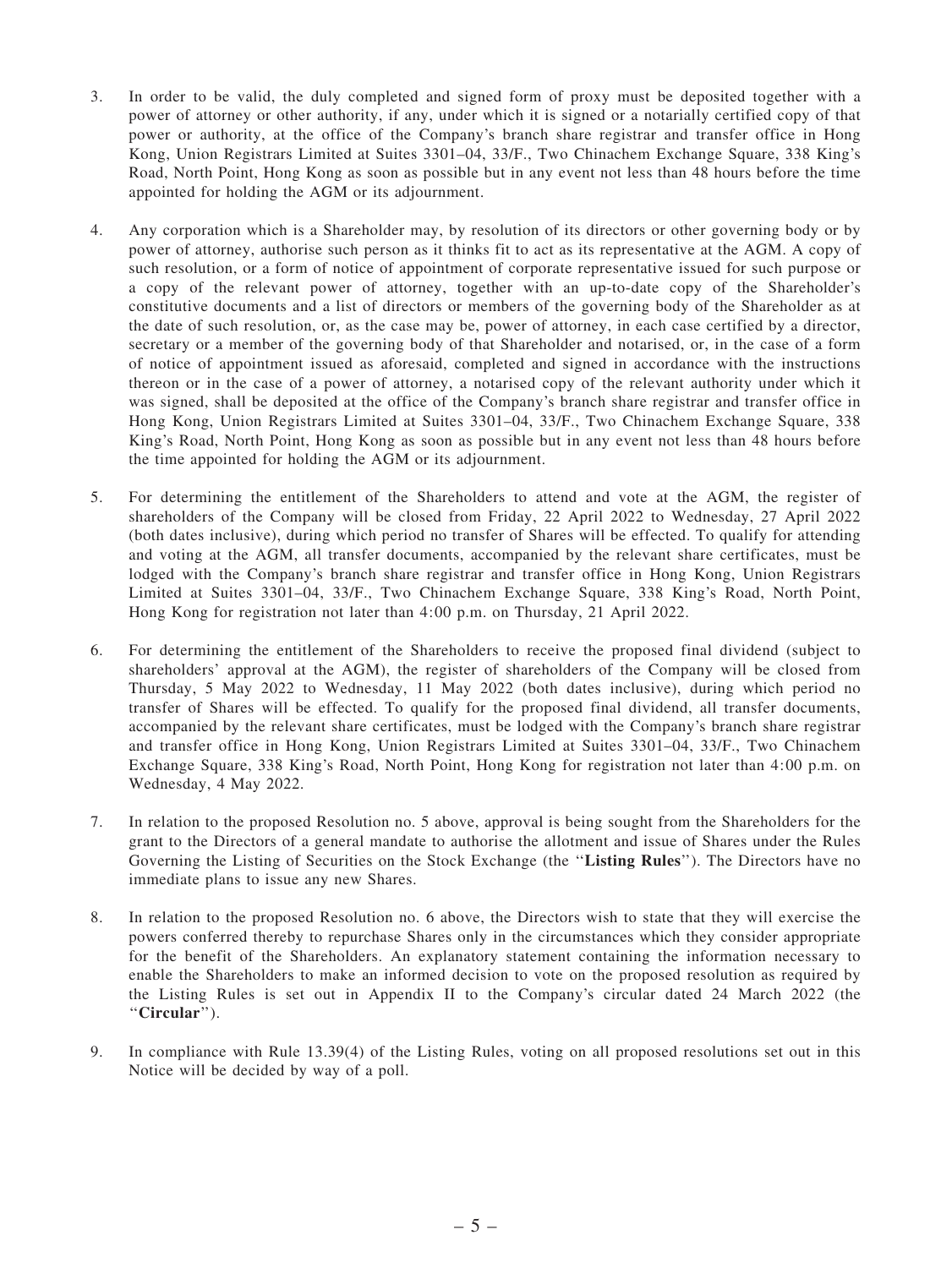- 3. In order to be valid, the duly completed and signed form of proxy must be deposited together with a power of attorney or other authority, if any, under which it is signed or a notarially certified copy of that power or authority, at the office of the Company's branch share registrar and transfer office in Hong Kong, Union Registrars Limited at Suites 3301–04, 33/F., Two Chinachem Exchange Square, 338 King's Road, North Point, Hong Kong as soon as possible but in any event not less than 48 hours before the time appointed for holding the AGM or its adjournment.
- 4. Any corporation which is a Shareholder may, by resolution of its directors or other governing body or by power of attorney, authorise such person as it thinks fit to act as its representative at the AGM. A copy of such resolution, or a form of notice of appointment of corporate representative issued for such purpose or a copy of the relevant power of attorney, together with an up-to-date copy of the Shareholder's constitutive documents and a list of directors or members of the governing body of the Shareholder as at the date of such resolution, or, as the case may be, power of attorney, in each case certified by a director, secretary or a member of the governing body of that Shareholder and notarised, or, in the case of a form of notice of appointment issued as aforesaid, completed and signed in accordance with the instructions thereon or in the case of a power of attorney, a notarised copy of the relevant authority under which it was signed, shall be deposited at the office of the Company's branch share registrar and transfer office in Hong Kong, Union Registrars Limited at Suites 3301–04, 33/F., Two Chinachem Exchange Square, 338 King's Road, North Point, Hong Kong as soon as possible but in any event not less than 48 hours before the time appointed for holding the AGM or its adjournment.
- 5. For determining the entitlement of the Shareholders to attend and vote at the AGM, the register of shareholders of the Company will be closed from Friday, 22 April 2022 to Wednesday, 27 April 2022 (both dates inclusive), during which period no transfer of Shares will be effected. To qualify for attending and voting at the AGM, all transfer documents, accompanied by the relevant share certificates, must be lodged with the Company's branch share registrar and transfer office in Hong Kong, Union Registrars Limited at Suites 3301–04, 33/F., Two Chinachem Exchange Square, 338 King's Road, North Point, Hong Kong for registration not later than 4:00 p.m. on Thursday, 21 April 2022.
- 6. For determining the entitlement of the Shareholders to receive the proposed final dividend (subject to shareholders' approval at the AGM), the register of shareholders of the Company will be closed from Thursday, 5 May 2022 to Wednesday, 11 May 2022 (both dates inclusive), during which period no transfer of Shares will be effected. To qualify for the proposed final dividend, all transfer documents, accompanied by the relevant share certificates, must be lodged with the Company's branch share registrar and transfer office in Hong Kong, Union Registrars Limited at Suites 3301–04, 33/F., Two Chinachem Exchange Square, 338 King's Road, North Point, Hong Kong for registration not later than 4:00 p.m. on Wednesday, 4 May 2022.
- 7. In relation to the proposed Resolution no. 5 above, approval is being sought from the Shareholders for the grant to the Directors of a general mandate to authorise the allotment and issue of Shares under the Rules Governing the Listing of Securities on the Stock Exchange (the "Listing Rules"). The Directors have no immediate plans to issue any new Shares.
- 8. In relation to the proposed Resolution no. 6 above, the Directors wish to state that they will exercise the powers conferred thereby to repurchase Shares only in the circumstances which they consider appropriate for the benefit of the Shareholders. An explanatory statement containing the information necessary to enable the Shareholders to make an informed decision to vote on the proposed resolution as required by the Listing Rules is set out in Appendix II to the Company's circular dated 24 March 2022 (the ''Circular'').
- 9. In compliance with Rule 13.39(4) of the Listing Rules, voting on all proposed resolutions set out in this Notice will be decided by way of a poll.